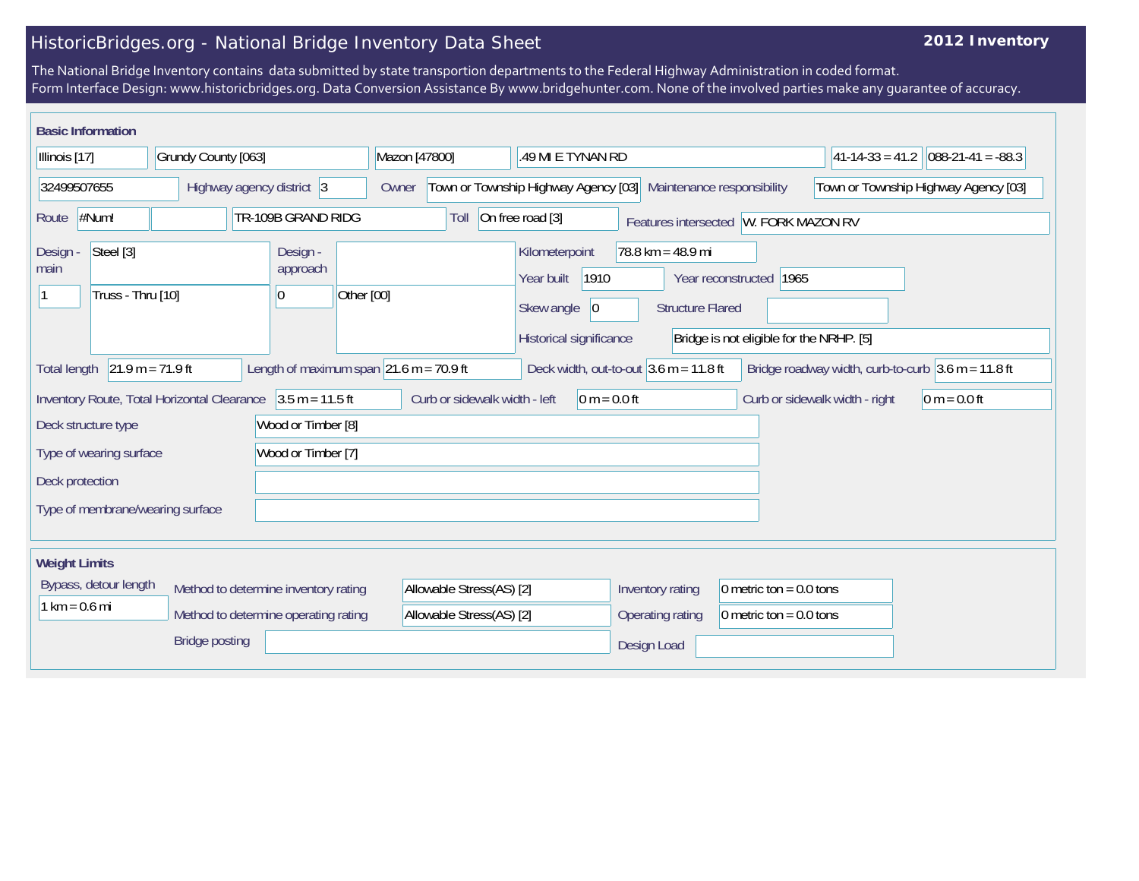## HistoricBridges.org - National Bridge Inventory Data Sheet

## **2012 Inventory**

The National Bridge Inventory contains data submitted by state transportion departments to the Federal Highway Administration in coded format. Form Interface Design: www.historicbridges.org. Data Conversion Assistance By www.bridgehunter.com. None of the involved parties make any guarantee of accuracy.

| <b>Basic Information</b>                                                                                                 |                    |                                                                             |                                                                                                                                                                |                                          |                                                                        |                                                      |  |
|--------------------------------------------------------------------------------------------------------------------------|--------------------|-----------------------------------------------------------------------------|----------------------------------------------------------------------------------------------------------------------------------------------------------------|------------------------------------------|------------------------------------------------------------------------|------------------------------------------------------|--|
| Illinois [17]<br>Grundy County [063]                                                                                     |                    | Mazon [47800]                                                               | .49 MI E TYNAN RD                                                                                                                                              |                                          | $ 41-14-33 = 41.2 088-21-41 = -88.3$                                   |                                                      |  |
| 32499507655<br>Highway agency district 3                                                                                 |                    | Town or Township Highway Agency [03]<br>Maintenance responsibility<br>Owner |                                                                                                                                                                | Town or Township Highway Agency [03]     |                                                                        |                                                      |  |
| #Num!<br>TR-109B GRAND RIDG<br>Route                                                                                     |                    |                                                                             | Toll                                                                                                                                                           | On free road [3]                         | Features intersected W. FORK MAZON RV                                  |                                                      |  |
| Steel [3]<br>Design -<br>Design -<br>approach<br>main<br>Truss - Thru [10]<br>10                                         |                    | Other [00]                                                                  | $78.8 \text{ km} = 48.9 \text{ mi}$<br>Kilometerpoint<br>1910<br>Year built<br>Skew angle<br>$ 0\rangle$<br><b>Structure Flared</b><br>Historical significance |                                          | 1965<br>Year reconstructed<br>Bridge is not eligible for the NRHP. [5] |                                                      |  |
| <b>Total length</b>                                                                                                      | $21.9 m = 71.9 ft$ | Length of maximum span $\left  21.6 \text{ m} \right  = 70.9 \text{ ft}$    |                                                                                                                                                                | Deck width, out-to-out $3.6$ m = 11.8 ft |                                                                        | Bridge roadway width, curb-to-curb $3.6$ m = 11.8 ft |  |
| Inventory Route, Total Horizontal Clearance 3.5 m = 11.5 ft<br>Wood or Timber [8]<br>Deck structure type                 |                    | Curb or sidewalk width - left<br>$0 m = 0.0 ft$                             |                                                                                                                                                                |                                          | Curb or sidewalk width - right<br>$0 m = 0.0 ft$                       |                                                      |  |
| Wood or Timber [7]<br>Type of wearing surface                                                                            |                    |                                                                             |                                                                                                                                                                |                                          |                                                                        |                                                      |  |
| Deck protection                                                                                                          |                    |                                                                             |                                                                                                                                                                |                                          |                                                                        |                                                      |  |
| Type of membrane/wearing surface                                                                                         |                    |                                                                             |                                                                                                                                                                |                                          |                                                                        |                                                      |  |
| <b>Weight Limits</b>                                                                                                     |                    |                                                                             |                                                                                                                                                                |                                          |                                                                        |                                                      |  |
| Bypass, detour length<br>Method to determine inventory rating<br>$1 km = 0.6 mi$<br>Method to determine operating rating |                    |                                                                             | Allowable Stress(AS) [2]<br>Allowable Stress(AS) [2]                                                                                                           | Inventory rating<br>Operating rating     | 0 metric ton = $0.0$ tons<br>0 metric ton = $0.0$ tons                 |                                                      |  |
| <b>Bridge posting</b>                                                                                                    |                    |                                                                             |                                                                                                                                                                | Design Load                              |                                                                        |                                                      |  |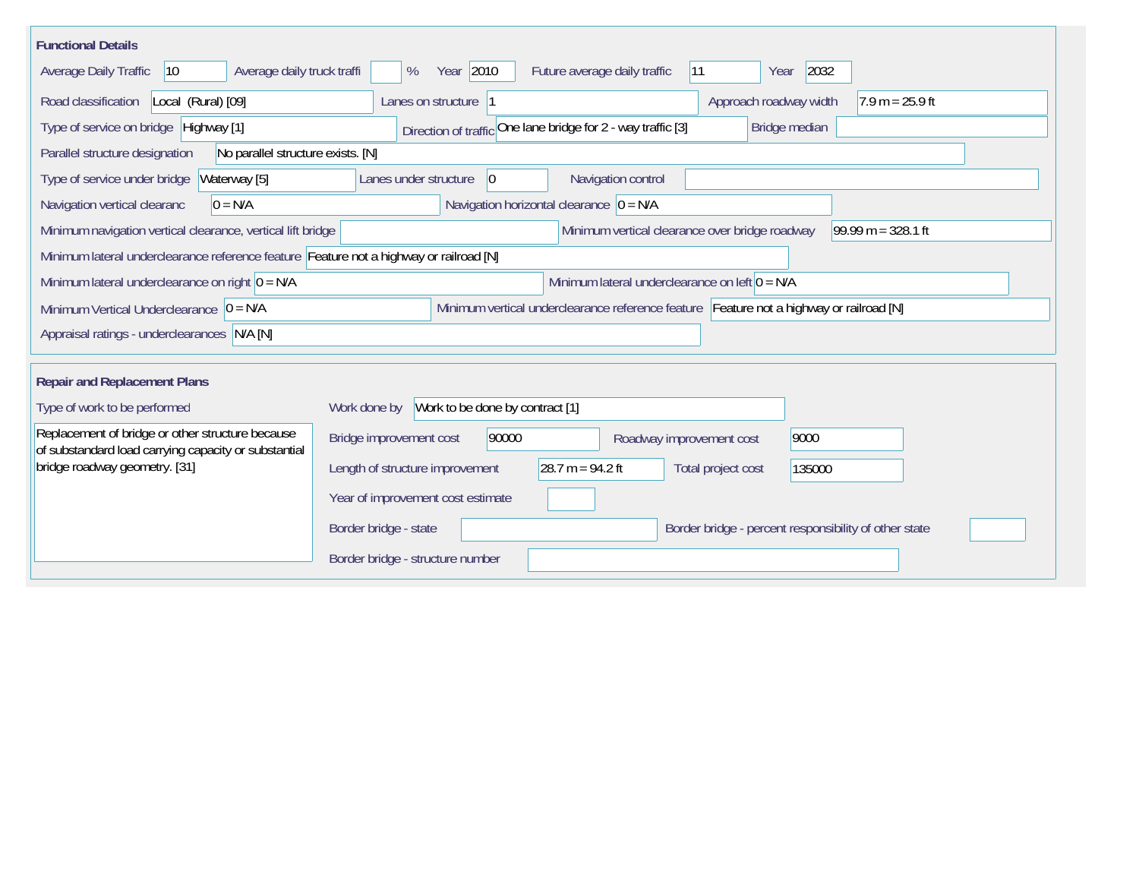| <b>Functional Details</b>                                                                                                              |                                                                                                                                       |  |  |  |  |  |
|----------------------------------------------------------------------------------------------------------------------------------------|---------------------------------------------------------------------------------------------------------------------------------------|--|--|--|--|--|
| Average daily truck traffi<br>Average Daily Traffic<br>$ 10\rangle$                                                                    | Year 2010<br>2032<br>Future average daily traffic<br> 11<br>%<br>Year                                                                 |  |  |  |  |  |
| Road classification<br>Local (Rural) [09]                                                                                              | Approach roadway width<br>$7.9 m = 25.9 ft$<br>Lanes on structure  1                                                                  |  |  |  |  |  |
| Direction of traffic One lane bridge for 2 - way traffic [3]<br>Type of service on bridge Highway [1]<br>Bridge median                 |                                                                                                                                       |  |  |  |  |  |
| No parallel structure exists. [N]<br>Parallel structure designation                                                                    |                                                                                                                                       |  |  |  |  |  |
| Waterway [5]<br>Type of service under bridge                                                                                           | 0 <br>Navigation control<br>Lanes under structure                                                                                     |  |  |  |  |  |
| Navigation horizontal clearance $ 0 = N/A$<br>Navigation vertical clearanc<br>$0 = N/A$                                                |                                                                                                                                       |  |  |  |  |  |
|                                                                                                                                        | Minimum vertical clearance over bridge roadway<br>99.99 m = $328.1$ ft<br>Minimum navigation vertical clearance, vertical lift bridge |  |  |  |  |  |
|                                                                                                                                        | Minimum lateral underclearance reference feature Feature not a highway or railroad [N]                                                |  |  |  |  |  |
| Minimum lateral underclearance on right $ 0 = N/A$                                                                                     | Minimum lateral underclearance on left $0 = N/A$                                                                                      |  |  |  |  |  |
| Minimum vertical underclearance reference feature Feature not a highway or railroad [N]<br>Minimum Vertical Underclearance $ 0 = N/A $ |                                                                                                                                       |  |  |  |  |  |
| Appraisal ratings - underclearances N/A [N]                                                                                            |                                                                                                                                       |  |  |  |  |  |
|                                                                                                                                        |                                                                                                                                       |  |  |  |  |  |
|                                                                                                                                        | <b>Repair and Replacement Plans</b>                                                                                                   |  |  |  |  |  |
| Type of work to be performed                                                                                                           | Work to be done by contract [1]<br>Work done by                                                                                       |  |  |  |  |  |
| Replacement of bridge or other structure because<br>of substandard load carrying capacity or substantial                               | 90000<br>Bridge improvement cost<br>9000<br>Roadway improvement cost                                                                  |  |  |  |  |  |
| bridge roadway geometry. [31]                                                                                                          | 28.7 m = $94.2$ ft<br>Length of structure improvement<br>Total project cost<br>135000                                                 |  |  |  |  |  |
|                                                                                                                                        | Year of improvement cost estimate                                                                                                     |  |  |  |  |  |
|                                                                                                                                        | Border bridge - state<br>Border bridge - percent responsibility of other state                                                        |  |  |  |  |  |
|                                                                                                                                        | Border bridge - structure number                                                                                                      |  |  |  |  |  |